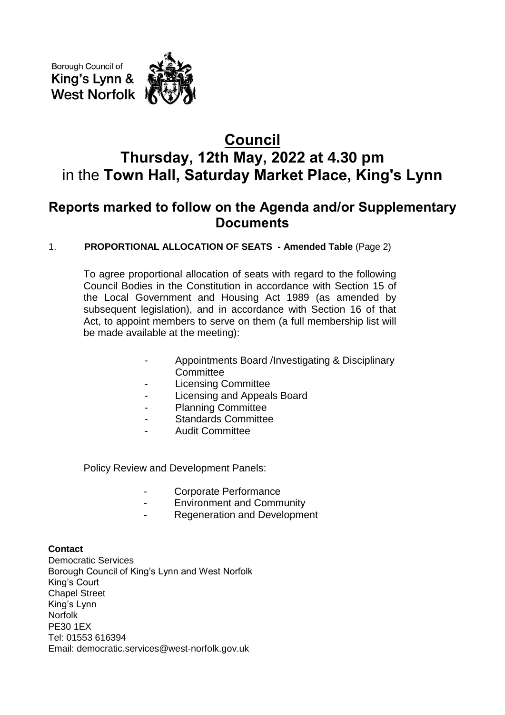Borough Council of King's Lynn & **West Norfolk** 

## **Council Thursday, 12th May, 2022 at 4.30 pm** in the **Town Hall, Saturday Market Place, King's Lynn**

### **Reports marked to follow on the Agenda and/or Supplementary Documents**

### 1. **PROPORTIONAL ALLOCATION OF SEATS - Amended Table** (Page 2)

To agree proportional allocation of seats with regard to the following Council Bodies in the Constitution in accordance with Section 15 of the Local Government and Housing Act 1989 (as amended by subsequent legislation), and in accordance with Section 16 of that Act, to appoint members to serve on them (a full membership list will be made available at the meeting):

- Appointments Board /Investigating & Disciplinary **Committee**
- Licensing Committee
- Licensing and Appeals Board
- Planning Committee
- Standards Committee
- Audit Committee

Policy Review and Development Panels:

- Corporate Performance
- Environment and Community
- Regeneration and Development

#### **Contact**

Democratic Services Borough Council of King's Lynn and West Norfolk King's Court Chapel Street King's Lynn Norfolk PE30 1EX Tel: 01553 616394 Email: democratic.services@west-norfolk.gov.uk